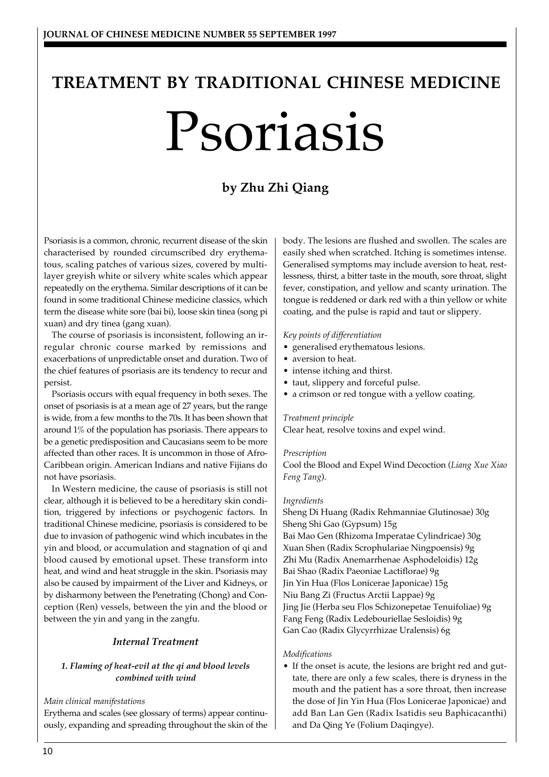# **TREATMENT BY TRADITIONAL CHINESE MEDICINE** Psoriasis

# **by Zhu Zhi Qiang**

Psoriasis is a common, chronic, recurrent disease of the skin characterised by rounded circumscribed dry erythematous, scaling patches of various sizes, covered by multilayer greyish white or silvery white scales which appear repeatedly on the erythema. Similar descriptions of it can be found in some traditional Chinese medicine classics, which term the disease white sore (bai bi), loose skin tinea (song pi xuan) and dry tinea (gang xuan).

The course of psoriasis is inconsistent, following an irregular chronic course marked by remissions and exacerbations of unpredictable onset and duration. Two of the chief features of psoriasis are its tendency to recur and persist.

Psoriasis occurs with equal frequency in both sexes. The onset of psoriasis is at a mean age of 27 years, but the range is wide, from a few months to the 70s. It has been shown that around 1% of the population has psoriasis. There appears to be a genetic predisposition and Caucasians seem to be more affected than other races. It is uncommon in those of Afro-Caribbean origin. American Indians and native Fijians do not have psoriasis.

In Western medicine, the cause of psoriasis is still not clear, although it is believed to be a hereditary skin condition, triggered by infections or psychogenic factors. In traditional Chinese medicine, psoriasis is considered to be due to invasion of pathogenic wind which incubates in the yin and blood, or accumulation and stagnation of qi and blood caused by emotional upset. These transform into heat, and wind and heat struggle in the skin. Psoriasis may also be caused by impairment of the Liver and Kidneys, or by disharmony between the Penetrating (Chong) and Conception (Ren) vessels, between the yin and the blood or between the yin and yang in the zangfu.

# *Internal Treatment*

# *1. Flaming of heat-evil at the qi and blood levels combined with wind*

# *Main clinical manifestations*

Erythema and scales (see glossary of terms) appear continuously, expanding and spreading throughout the skin of the body. The lesions are flushed and swollen. The scales are easily shed when scratched. Itching is sometimes intense. Generalised symptoms may include aversion to heat, restlessness, thirst, a bitter taste in the mouth, sore throat, slight fever, constipation, and yellow and scanty urination. The tongue is reddened or dark red with a thin yellow or white coating, and the pulse is rapid and taut or slippery.

#### *Key points of differentiation*

- generalised erythematous lesions.
- aversion to heat.
- intense itching and thirst.
- taut, slippery and forceful pulse.
- a crimson or red tongue with a yellow coating.

#### *Treatment principle*

Clear heat, resolve toxins and expel wind.

#### *Prescription*

Cool the Blood and Expel Wind Decoction (*Liang Xue Xiao Feng Tang*).

#### *Ingredients*

Sheng Di Huang (Radix Rehmanniae Glutinosae) 30g Sheng Shi Gao (Gypsum) 15g Bai Mao Gen (Rhizoma Imperatae Cylindricae) 30g Xuan Shen (Radix Scrophulariae Ningpoensis) 9g Zhi Mu (Radix Anemarrhenae Asphodeloidis) 12g Bai Shao (Radix Paeoniae Lactiflorae) 9g Jin Yin Hua (Flos Lonicerae Japonicae) 15g Niu Bang Zi (Fructus Arctii Lappae) 9g Jing Jie (Herba seu Flos Schizonepetae Tenuifoliae) 9g Fang Feng (Radix Ledebouriellae Sesloidis) 9g Gan Cao (Radix Glycyrrhizae Uralensis) 6g

#### *Modifications*

• If the onset is acute, the lesions are bright red and guttate, there are only a few scales, there is dryness in the mouth and the patient has a sore throat, then increase the dose of Jin Yin Hua (Flos Lonicerae Japonicae) and add Ban Lan Gen (Radix Isatidis seu Baphicacanthi) and Da Qing Ye (Folium Daqingye).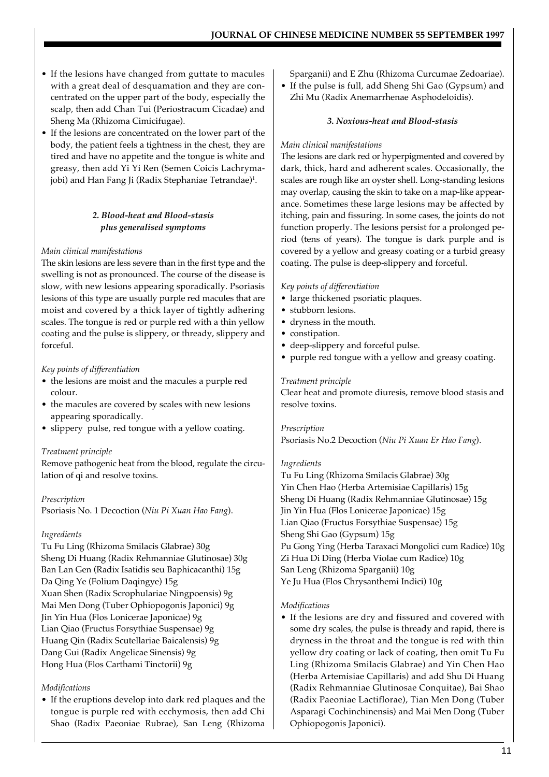- If the lesions have changed from guttate to macules with a great deal of desquamation and they are concentrated on the upper part of the body, especially the scalp, then add Chan Tui (Periostracum Cicadae) and Sheng Ma (Rhizoma Cimicifugae).
- If the lesions are concentrated on the lower part of the body, the patient feels a tightness in the chest, they are tired and have no appetite and the tongue is white and greasy, then add Yi Yi Ren (Semen Coicis Lachrymajobi) and Han Fang Ji (Radix Stephaniae Tetrandae)<sup>1</sup>.

# *2. Blood-heat and Blood-stasis plus generalised symptoms*

# *Main clinical manifestations*

The skin lesions are less severe than in the first type and the swelling is not as pronounced. The course of the disease is slow, with new lesions appearing sporadically. Psoriasis lesions of this type are usually purple red macules that are moist and covered by a thick layer of tightly adhering scales. The tongue is red or purple red with a thin yellow coating and the pulse is slippery, or thready, slippery and forceful.

#### *Key points of differentiation*

- the lesions are moist and the macules a purple red colour.
- the macules are covered by scales with new lesions appearing sporadically.
- slippery pulse, red tongue with a yellow coating.

#### *Treatment principle*

Remove pathogenic heat from the blood, regulate the circulation of qi and resolve toxins.

# *Prescription*

Psoriasis No. 1 Decoction (*Niu Pi Xuan Hao Fang*).

# *Ingredients*

Tu Fu Ling (Rhizoma Smilacis Glabrae) 30g Sheng Di Huang (Radix Rehmanniae Glutinosae) 30g Ban Lan Gen (Radix Isatidis seu Baphicacanthi) 15g Da Qing Ye (Folium Daqingye) 15g Xuan Shen (Radix Scrophulariae Ningpoensis) 9g Mai Men Dong (Tuber Ophiopogonis Japonici) 9g Jin Yin Hua (Flos Lonicerae Japonicae) 9g Lian Qiao (Fructus Forsythiae Suspensae) 9g Huang Qin (Radix Scutellariae Baicalensis) 9g Dang Gui (Radix Angelicae Sinensis) 9g Hong Hua (Flos Carthami Tinctorii) 9g

# *Modifications*

• If the eruptions develop into dark red plaques and the tongue is purple red with ecchymosis, then add Chi Shao (Radix Paeoniae Rubrae), San Leng (Rhizoma Sparganii) and E Zhu (Rhizoma Curcumae Zedoariae).

• If the pulse is full, add Sheng Shi Gao (Gypsum) and Zhi Mu (Radix Anemarrhenae Asphodeloidis).

#### *3. Noxious-heat and Blood-stasis*

#### *Main clinical manifestations*

The lesions are dark red or hyperpigmented and covered by dark, thick, hard and adherent scales. Occasionally, the scales are rough like an oyster shell. Long-standing lesions may overlap, causing the skin to take on a map-like appearance. Sometimes these large lesions may be affected by itching, pain and fissuring. In some cases, the joints do not function properly. The lesions persist for a prolonged period (tens of years). The tongue is dark purple and is covered by a yellow and greasy coating or a turbid greasy coating. The pulse is deep-slippery and forceful.

#### *Key points of differentiation*

- large thickened psoriatic plaques.
- stubborn lesions.
- dryness in the mouth.
- constipation.
- deep-slippery and forceful pulse.
- purple red tongue with a yellow and greasy coating.

#### *Treatment principle*

Clear heat and promote diuresis, remove blood stasis and resolve toxins.

#### *Prescription* Psoriasis No.2 Decoction (*Niu Pi Xuan Er Hao Fang*).

#### *Ingredients*

Tu Fu Ling (Rhizoma Smilacis Glabrae) 30g Yin Chen Hao (Herba Artemisiae Capillaris) 15g Sheng Di Huang (Radix Rehmanniae Glutinosae) 15g Jin Yin Hua (Flos Lonicerae Japonicae) 15g Lian Qiao (Fructus Forsythiae Suspensae) 15g Sheng Shi Gao (Gypsum) 15g Pu Gong Ying (Herba Taraxaci Mongolici cum Radice) 10g Zi Hua Di Ding (Herba Violae cum Radice) 10g San Leng (Rhizoma Sparganii) 10g Ye Ju Hua (Flos Chrysanthemi Indici) 10g

#### *Modifications*

• If the lesions are dry and fissured and covered with some dry scales, the pulse is thready and rapid, there is dryness in the throat and the tongue is red with thin yellow dry coating or lack of coating, then omit Tu Fu Ling (Rhizoma Smilacis Glabrae) and Yin Chen Hao (Herba Artemisiae Capillaris) and add Shu Di Huang (Radix Rehmanniae Glutinosae Conquitae), Bai Shao (Radix Paeoniae Lactiflorae), Tian Men Dong (Tuber Asparagi Cochinchinensis) and Mai Men Dong (Tuber Ophiopogonis Japonici).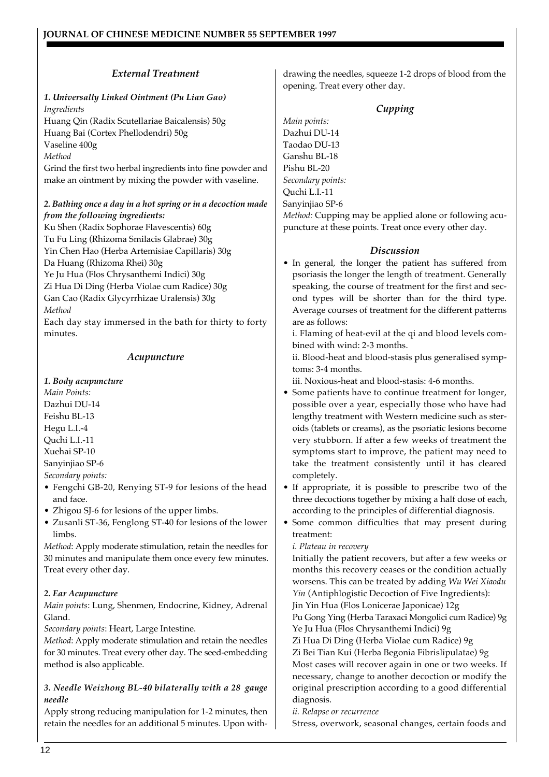# *External Treatment*

# *1. Universally Linked Ointment (Pu Lian Gao) Ingredients*

Huang Qin (Radix Scutellariae Baicalensis) 50g Huang Bai (Cortex Phellodendri) 50g Vaseline 400g *Method*

Grind the first two herbal ingredients into fine powder and make an ointment by mixing the powder with vaseline.

# *2. Bathing once a day in a hot spring or in a decoction made from the following ingredients:*

Ku Shen (Radix Sophorae Flavescentis) 60g Tu Fu Ling (Rhizoma Smilacis Glabrae) 30g Yin Chen Hao (Herba Artemisiae Capillaris) 30g Da Huang (Rhizoma Rhei) 30g Ye Ju Hua (Flos Chrysanthemi Indici) 30g Zi Hua Di Ding (Herba Violae cum Radice) 30g Gan Cao (Radix Glycyrrhizae Uralensis) 30g *Method*

Each day stay immersed in the bath for thirty to forty minutes.

# *Acupuncture*

# *1. Body acupuncture*

*Main Points:* Dazhui DU-14 Feishu BL-13 Hegu L.I.-4 Quchi L.I.-11 Xuehai SP-10 Sanyinjiao SP-6 *Secondary points:*

- Fengchi GB-20, Renying ST-9 for lesions of the head and face.
- Zhigou SJ-6 for lesions of the upper limbs.
- Zusanli ST-36, Fenglong ST-40 for lesions of the lower limbs.

*Method*: Apply moderate stimulation, retain the needles for 30 minutes and manipulate them once every few minutes. Treat every other day.

# *2. Ear Acupuncture*

*Main points*: Lung, Shenmen, Endocrine, Kidney, Adrenal Gland.

*Secondary points*: Heart, Large Intestine.

*Method*: Apply moderate stimulation and retain the needles for 30 minutes. Treat every other day. The seed-embedding method is also applicable.

# *3. Needle Weizhong BL-40 bilaterally with a 28 gauge needle*

Apply strong reducing manipulation for 1-2 minutes, then retain the needles for an additional 5 minutes. Upon with-

drawing the needles, squeeze 1-2 drops of blood from the opening. Treat every other day.

# *Cupping*

*Main points:* Dazhui DU-14 Taodao DU-13 Ganshu BL-18 Pishu BL-20 *Secondary points:* Quchi L.I.-11 Sanyinjiao SP-6

*Method:* Cupping may be applied alone or following acupuncture at these points. Treat once every other day.

# *Discussion*

• In general, the longer the patient has suffered from psoriasis the longer the length of treatment. Generally speaking, the course of treatment for the first and second types will be shorter than for the third type. Average courses of treatment for the different patterns are as follows:

i. Flaming of heat-evil at the qi and blood levels combined with wind: 2-3 months.

ii. Blood-heat and blood-stasis plus generalised symptoms: 3-4 months.

iii. Noxious-heat and blood-stasis: 4-6 months.

- Some patients have to continue treatment for longer, possible over a year, especially those who have had lengthy treatment with Western medicine such as steroids (tablets or creams), as the psoriatic lesions become very stubborn. If after a few weeks of treatment the symptoms start to improve, the patient may need to take the treatment consistently until it has cleared completely.
- If appropriate, it is possible to prescribe two of the three decoctions together by mixing a half dose of each, according to the principles of differential diagnosis.
- Some common difficulties that may present during treatment:

# *i. Plateau in recovery*

Initially the patient recovers, but after a few weeks or months this recovery ceases or the condition actually worsens. This can be treated by adding *Wu Wei Xiaodu Yin* (Antiphlogistic Decoction of Five Ingredients): Jin Yin Hua (Flos Lonicerae Japonicae) 12g Pu Gong Ying (Herba Taraxaci Mongolici cum Radice) 9g Ye Ju Hua (Flos Chrysanthemi Indici) 9g Zi Hua Di Ding (Herba Violae cum Radice) 9g Zi Bei Tian Kui (Herba Begonia Fibrislipulatae) 9g Most cases will recover again in one or two weeks. If necessary, change to another decoction or modify the original prescription according to a good differential diagnosis.

*ii. Relapse or recurrence*

Stress, overwork, seasonal changes, certain foods and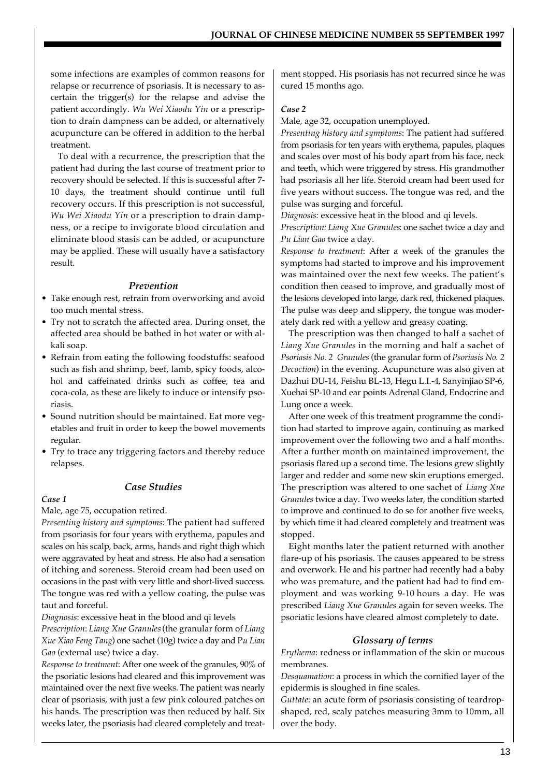some infections are examples of common reasons for relapse or recurrence of psoriasis. It is necessary to ascertain the trigger(s) for the relapse and advise the patient accordingly. *Wu Wei Xiaodu Yin* or a prescription to drain dampness can be added, or alternatively acupuncture can be offered in addition to the herbal treatment.

 To deal with a recurrence, the prescription that the patient had during the last course of treatment prior to recovery should be selected. If this is successful after 7- 10 days, the treatment should continue until full recovery occurs. If this prescription is not successful, *Wu Wei Xiaodu Yin* or a prescription to drain dampness, or a recipe to invigorate blood circulation and eliminate blood stasis can be added, or acupuncture may be applied. These will usually have a satisfactory result.

# *Prevention*

- Take enough rest, refrain from overworking and avoid too much mental stress.
- Try not to scratch the affected area. During onset, the affected area should be bathed in hot water or with alkali soap.
- Refrain from eating the following foodstuffs: seafood such as fish and shrimp, beef, lamb, spicy foods, alcohol and caffeinated drinks such as coffee, tea and coca-cola, as these are likely to induce or intensify psoriasis.
- Sound nutrition should be maintained. Eat more vegetables and fruit in order to keep the bowel movements regular.
- Try to trace any triggering factors and thereby reduce relapses.

# *Case Studies*

# *Case 1*

Male, age 75, occupation retired.

*Presenting history and symptoms*: The patient had suffered from psoriasis for four years with erythema, papules and scales on his scalp, back, arms, hands and right thigh which were aggravated by heat and stress. He also had a sensation of itching and soreness. Steroid cream had been used on occasions in the past with very little and short-lived success. The tongue was red with a yellow coating, the pulse was taut and forceful.

*Diagnosis*: excessive heat in the blood and qi levels

*Prescription*: *Liang Xue Granules* (the granular form of *Liang Xue Xiao Feng Tang*) one sachet (10g) twice a day and P*u Lian Gao* (external use) twice a day.

*Response to treatment*: After one week of the granules, 90% of the psoriatic lesions had cleared and this improvement was maintained over the next five weeks. The patient was nearly clear of psoriasis, with just a few pink coloured patches on his hands. The prescription was then reduced by half. Six weeks later, the psoriasis had cleared completely and treatment stopped. His psoriasis has not recurred since he was cured 15 months ago.

#### *Case 2*

Male, age 32, occupation unemployed.

*Presenting history and symptoms*: The patient had suffered from psoriasis for ten years with erythema, papules, plaques and scales over most of his body apart from his face, neck and teeth, which were triggered by stress. His grandmother had psoriasis all her life. Steroid cream had been used for five years without success. The tongue was red, and the pulse was surging and forceful.

*Diagnosis:* excessive heat in the blood and qi levels.

*Prescription: Liang Xue Granules*: one sachet twice a day and *Pu Lian Gao* twice a day.

*Response to treatment*: After a week of the granules the symptoms had started to improve and his improvement was maintained over the next few weeks. The patient's condition then ceased to improve, and gradually most of the lesions developed into large, dark red, thickened plaques. The pulse was deep and slippery, the tongue was moderately dark red with a yellow and greasy coating.

The prescription was then changed to half a sachet of *Liang Xue Granules* in the morning and half a sachet of *Psoriasis No. 2 Granules* (the granular form of *Psoriasis No. 2 Decoction*) in the evening. Acupuncture was also given at Dazhui DU-14, Feishu BL-13, Hegu L.I.-4, Sanyinjiao SP-6, Xuehai SP-10 and ear points Adrenal Gland, Endocrine and Lung once a week.

After one week of this treatment programme the condition had started to improve again, continuing as marked improvement over the following two and a half months. After a further month on maintained improvement, the psoriasis flared up a second time. The lesions grew slightly larger and redder and some new skin eruptions emerged. The prescription was altered to one sachet of *Liang Xue Granules* twice a day. Two weeks later, the condition started to improve and continued to do so for another five weeks, by which time it had cleared completely and treatment was stopped.

Eight months later the patient returned with another flare-up of his psoriasis. The causes appeared to be stress and overwork. He and his partner had recently had a baby who was premature, and the patient had had to find employment and was working 9-10 hours a day. He was prescribed *Liang Xue Granules* again for seven weeks. The psoriatic lesions have cleared almost completely to date.

# *Glossary of terms*

*Erythema*: redness or inflammation of the skin or mucous membranes.

*Desquamation*: a process in which the cornified layer of the epidermis is sloughed in fine scales.

*Guttate*: an acute form of psoriasis consisting of teardropshaped, red, scaly patches measuring 3mm to 10mm, all over the body.